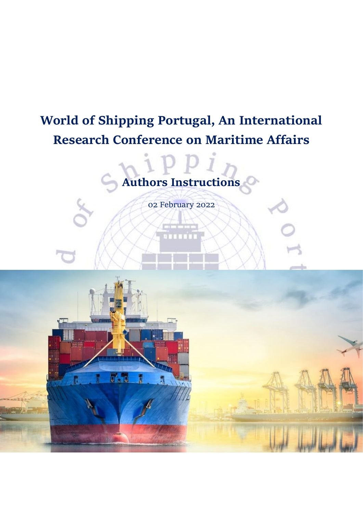# **World of Shipping Portugal, An International Research Conference on Maritime Affairs**



02 February 2022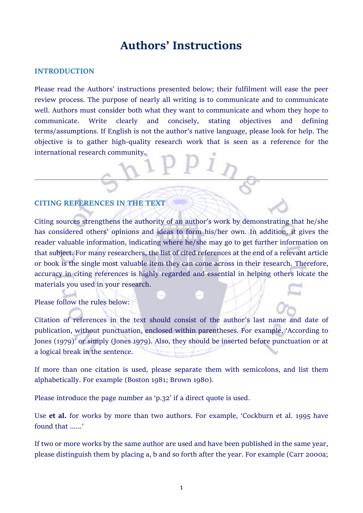## **Authors' Instructions**

#### **INTRODUCTION**

Please read the Authors' instructions presented below; their fulfilment will ease the peer review process. The purpose of nearly all writing is to communicate and to communicate well. Authors must consider both what they want to communicate and whom they hope to communicate. Write clearly and concisely, stating objectives and defining terms/assumptions. If English is not the author's native language, please look for help. The objective is to gather high-quality research work that is seen as a reference for the international research community.

#### **CITING REFERENCES IN THE TEXT**

Citing sources strengthens the authority of an author's work by demonstrating that he/she has considered others' opinions and ideas to form his/her own. In addition, it gives the reader valuable information, indicating where he/she may go to get further information on that subject. For many researchers, the list of cited references at the end of a relevant article or book is the single most valuable item they can come across in their research. Therefore, accuracy in citing references is highly regarded and essential in helping others locate the materials you used in your research.

Please follow the rules below:

Citation of references in the text should consist of the author's last name and date of publication, without punctuation, enclosed within parentheses. For example, 'According to Jones (1979)' or simply (Jones 1979). Also, they should be inserted before punctuation or at a logical break in the sentence.

If more than one citation is used, please separate them with semicolons, and list them alphabetically. For example (Boston 1981; Brown 1980).

Please introduce the page number as 'p.32' if a direct quote is used.

Use **et al.** for works by more than two authors. For example, 'Cockburn et al. 1995 have found that  $\qquad$ 

If two or more works by the same author are used and have been published in the same year, please distinguish them by placing a, b and so forth after the year. For example (Carr 2000a;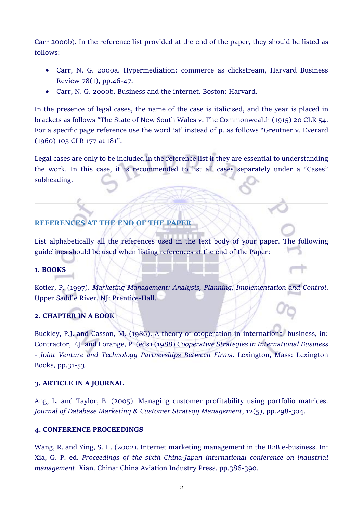Carr 2000b). In the reference list provided at the end of the paper, they should be listed as follows:

- Carr, N. G. 2000a. Hypermediation: commerce as clickstream, Harvard Business Review 78(1), pp.46-47.
- Carr, N. G. 2000b. Business and the internet. Boston: Harvard.

In the presence of legal cases, the name of the case is italicised, and the year is placed in brackets as follows "The State of New South Wales v. The Commonwealth (1915) 20 CLR 54. For a specific page reference use the word 'at' instead of p. as follows "Greutner v. Everard (1960) 103 CLR 177 at 181".

Legal cases are only to be included in the reference list if they are essential to understanding the work. In this case, it is recommended to list all cases separately under a "Cases" subheading.

## **REFERENCES AT THE END OF THE PAPER**

List alphabetically all the references used in the text body of your paper. The following guidelines should be used when listing references at the end of the Paper:

#### **1. BOOKS**

Kotler, P. (1997). *Marketing Management: Analysis, Planning, Implementation and Control*. Upper Saddle River, NJ: Prentice-Hall.

## **2. CHAPTER IN A BOOK**

Buckley, P.J. and Casson, M. (1986). A theory of cooperation in international business, in: Contractor, F.J. and Lorange, P. (eds) (1988) *Cooperative Strategies in International Business - Joint Venture and Technology Partnerships Between Firms*. Lexington, Mass: Lexington Books, pp.31-53.

#### **3. ARTICLE IN A JOURNAL**

Ang, L. and Taylor, B. (2005). Managing customer profitability using portfolio matrices. *Journal of Database Marketing & Customer Strategy Management*, 12(5), pp.298-304.

#### **4. CONFERENCE PROCEEDINGS**

Wang, R. and Ying, S. H. (2002). Internet marketing management in the B2B e-business. In: Xia, G. P. ed. *Proceedings of the sixth China-Japan international conference on industrial management*. Xian. China: China Aviation Industry Press. pp.386-390.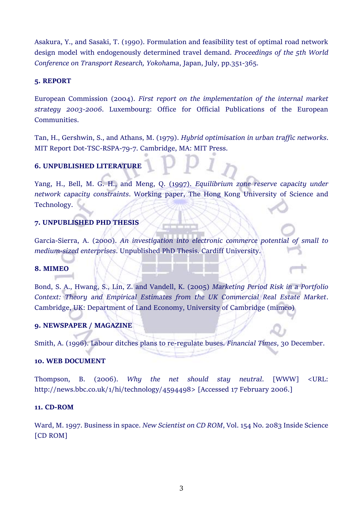Asakura, Y., and Sasaki, T. (1990). Formulation and feasibility test of optimal road network design model with endogenously determined travel demand. *Proceedings of the 5th World Conference on Transport Research, Yokohama*, Japan, July, pp.351-365.

#### **5. REPORT**

European Commission (2004). *First report on the implementation of the internal market strategy 2003-2006*. Luxembourg: Office for Official Publications of the European Communities.

Tan, H., Gershwin, S., and Athans, M. (1979). *Hybrid optimisation in urban traffic networks*. MIT Report Dot-TSC-RSPA-79-7. Cambridge, MA: MIT Press.

### **6. UNPUBLISHED LITERATURE**

Yang, H., Bell, M. G. H., and Meng, Q. (1997). *Equilibrium zone reserve capacity under network capacity constraints*. Working paper, The Hong Kong University of Science and Technology.

#### **7. UNPUBLISHED PHD THESIS**

Garcia-Sierra, A. (2000). *An investigation into electronic commerce potential of small to medium-sized enterprises*. Unpublished PhD Thesis. Cardiff University.

#### **8. MIMEO**

provents.

Bond, S. A., Hwang, S., Lin, Z. and Vandell, K. (2005) *Marketing Period Risk in a Portfolio Context: Theory and Empirical Estimates from the UK Commercial Real Estate Market*. Cambridge, UK: Department of Land Economy, University of Cambridge (mimeo)

#### **9. NEWSPAPER / MAGAZINE**

Smith, A. (1996). Labour ditches plans to re-regulate buses. *Financial Times*, 30 December.

#### **10. WEB DOCUMENT**

Thompson, B. (2006). *Why the net should stay neutral*. [WWW] <URL: http://news.bbc.co.uk/1/hi/technology/4594498> [Accessed 17 February 2006.]

#### **11. CD-ROM**

Ward, M. 1997. Business in space. *New Scientist on CD ROM*, Vol. 154 No. 2083 Inside Science [CD ROM]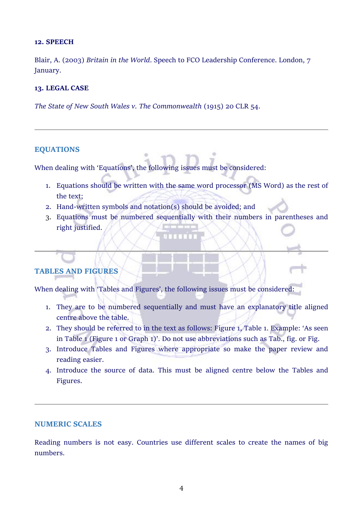#### **12. SPEECH**

Blair, A. (2003) *Britain in the World*. Speech to FCO Leadership Conference. London, 7 January.

#### **13. LEGAL CASE**

*The State of New South Wales v. The Commonwealth* (1915) 20 CLR 54.

#### **EQUATIONS**

When dealing with 'Equations', the following issues must be considered:

- 1. Equations should be written with the same word processor (MS Word) as the rest of the text;
- 2. Hand-written symbols and notation(s) should be avoided; and
- 3. Equations must be numbered sequentially with their numbers in parentheses and right justified.

## **TABLES AND FIGURES**

When dealing with 'Tables and Figures', the following issues must be considered:

- 1. They are to be numbered sequentially and must have an explanatory title aligned centre above the table.
- 2. They should be referred to in the text as follows: Figure 1, Table 1. Example: 'As seen in Table 1 (Figure 1 or Graph 1)'. Do not use abbreviations such as Tab., fig. or Fig.
- 3. Introduce Tables and Figures where appropriate so make the paper review and reading easier.
- 4. Introduce the source of data. This must be aligned centre below the Tables and Figures.

#### **NUMERIC SCALES**

Reading numbers is not easy. Countries use different scales to create the names of big numbers.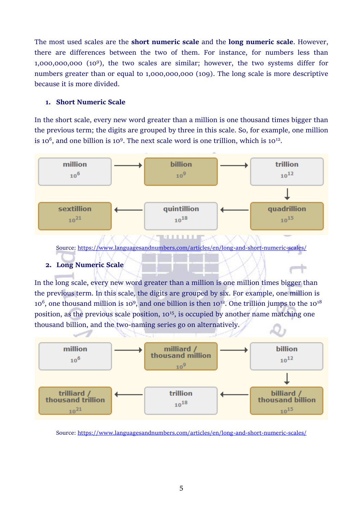The most used scales are the **short numeric scale** and the **long numeric scale**. However, there are differences between the two of them. For instance, for numbers less than 1,000,000,000 (10<sup>9</sup> ), the two scales are similar; however, the two systems differ for numbers greater than or equal to 1,000,000,000 (109). The long scale is more descriptive because it is more divided.

#### **1. Short Numeric Scale**

In the short scale, every new word greater than a million is one thousand times bigger than the previous term; the digits are grouped by three in this scale. So, for example, one million is 10<sup>6</sup>, and one billion is 10<sup>9</sup>. The next scale word is one trillion, which is 10<sup>12</sup>.



Source:<https://www.languagesandnumbers.com/articles/en/long-and-short-numeric-scales/>

#### **2. Long Numeric Scale**

In the long scale, every new word greater than a million is one million times bigger than the previous term. In this scale, the digits are grouped by six. For example, one million is  $10^6$ , one thousand million is 10<sup>9</sup>, and one billion is then 10<sup>12</sup>. One trillion jumps to the 10<sup>18</sup> position, as the previous scale position,  $10^{15}$ , is occupied by another name matching one thousand billion, and the two-naming series go on alternatively.



Source:<https://www.languagesandnumbers.com/articles/en/long-and-short-numeric-scales/>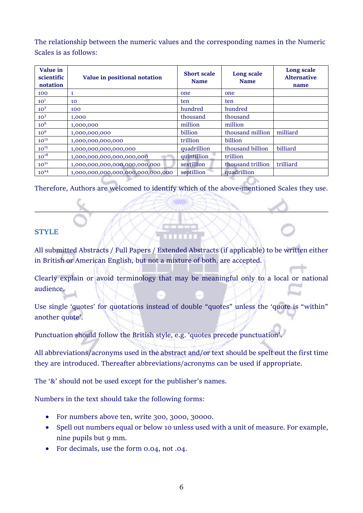The relationship between the numeric values and the corresponding names in the Numeric Scales is as follows:

| Value in<br>scientific<br>notation | Value in positional notation      | <b>Short scale</b><br><b>Name</b> | Long scale<br><b>Name</b> | Long scale<br><b>Alternative</b><br>name |
|------------------------------------|-----------------------------------|-----------------------------------|---------------------------|------------------------------------------|
| 100                                | 1                                 | one                               | one                       |                                          |
| 10 <sup>1</sup>                    | 10                                | ten                               | ten                       |                                          |
| 10 <sup>2</sup>                    | 100                               | hundred                           | hundred                   |                                          |
| 10 <sup>3</sup>                    | 1,000                             | thousand                          | thousand                  |                                          |
| 10 <sup>6</sup>                    | 1,000,000                         | million                           | million                   |                                          |
| 10 <sup>9</sup>                    | 1,000,000,000                     | billion                           | thousand million          | milliard                                 |
| $10^{12}$                          | 1,000,000,000,000                 | trillion                          | billion                   |                                          |
| $10^{15}$                          | 1,000,000,000,000,000             | quadrillion                       | thousand billion          | billiard                                 |
| $10^{18}$                          | 1,000,000,000,000,000,000         | quintillion                       | trillion                  |                                          |
| $10^{21}$                          | 1,000,000,000,000,000,000,000     | sextillion                        | thousand trillion         | trilliard                                |
| $10^{24}$                          | 1,000,000,000,000,000,000,000,000 | septillion                        | quadrillion               |                                          |

Therefore, Authors are welcomed to identify which of the above-mentioned Scales they use.

## **STYLE**

All submitted Abstracts / Full Papers / Extended Abstracts (if applicable) to be written either in British or American English, but not a mixture of both, are accepted.

Clearly explain or avoid terminology that may be meaningful only to a local or national audience.

Use single 'quotes' for quotations instead of double "quotes" unless the 'quote is "within" another quote'.

Punctuation should follow the British style, e.g. 'quotes precede punctuation'.

All abbreviations/acronyms used in the abstract and/or text should be spelt out the first time they are introduced. Thereafter abbreviations/acronyms can be used if appropriate.

The '&' should not be used except for the publisher's names.

Numbers in the text should take the following forms:

- For numbers above ten, write 300, 3000, 30000.
- Spell out numbers equal or below 10 unless used with a unit of measure. For example, nine pupils but 9 mm.
- For decimals, use the form 0.04, not .04.